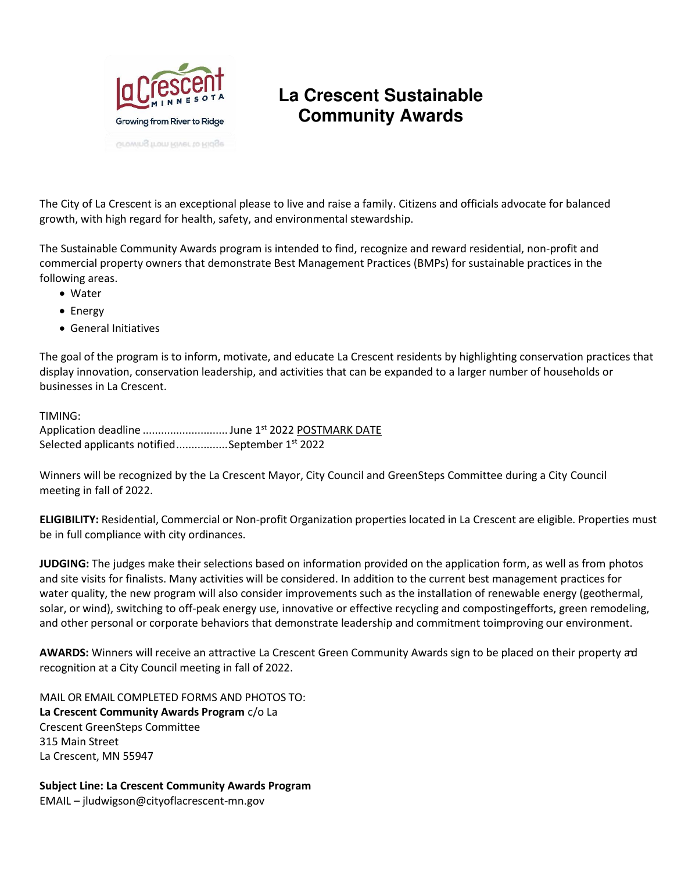

### **La Crescent Sustainable Community Awards**

The City of La Crescent is an exceptional please to live and raise a family. Citizens and officials advocate for balanced growth, with high regard for health, safety, and environmental stewardship.

The Sustainable Community Awards program is intended to find, recognize and reward residential, non-profit and commercial property owners that demonstrate Best Management Practices (BMPs) for sustainable practices in the following areas.

- Water
- Energy
- General Initiatives

The goal of the program is to inform, motivate, and educate La Crescent residents by highlighting conservation practices that display innovation, conservation leadership, and activities that can be expanded to a larger number of households or businesses in La Crescent.

#### TIMING:

Application deadline ............................. June 1st 2022 POSTMARK DATE Selected applicants notified ................. September 1st 2022

Winners will be recognized by the La Crescent Mayor, City Council and GreenSteps Committee during a City Council meeting in fall of 2022.

**ELIGIBILITY:** Residential, Commercial or Non-profit Organization properties located in La Crescent are eligible. Properties must be in full compliance with city ordinances.

**JUDGING:** The judges make their selections based on information provided on the application form, as well as from photos and site visits for finalists. Many activities will be considered. In addition to the current best management practices for water quality, the new program will also consider improvements such as the installation of renewable energy (geothermal, solar, or wind), switching to off-peak energy use, innovative or effective recycling and composting efforts, green remodeling, and other personal or corporate behaviors that demonstrate leadership and commitment to improving our environment.

**AWARDS:** Winners will receive an attractive La Crescent Green Community Awards sign to be placed on their property and recognition at a City Council meeting in fall of 2022.

MAIL OR EMAIL COMPLETED FORMS AND PHOTOS TO: **La Crescent Community Awards Program** c/o La Crescent GreenSteps Committee 315 Main Street La Crescent, MN 55947

 **Subject Line: La Crescent Community Awards Program**  EMAIL – jludwigson@cityoflacrescent-mn.gov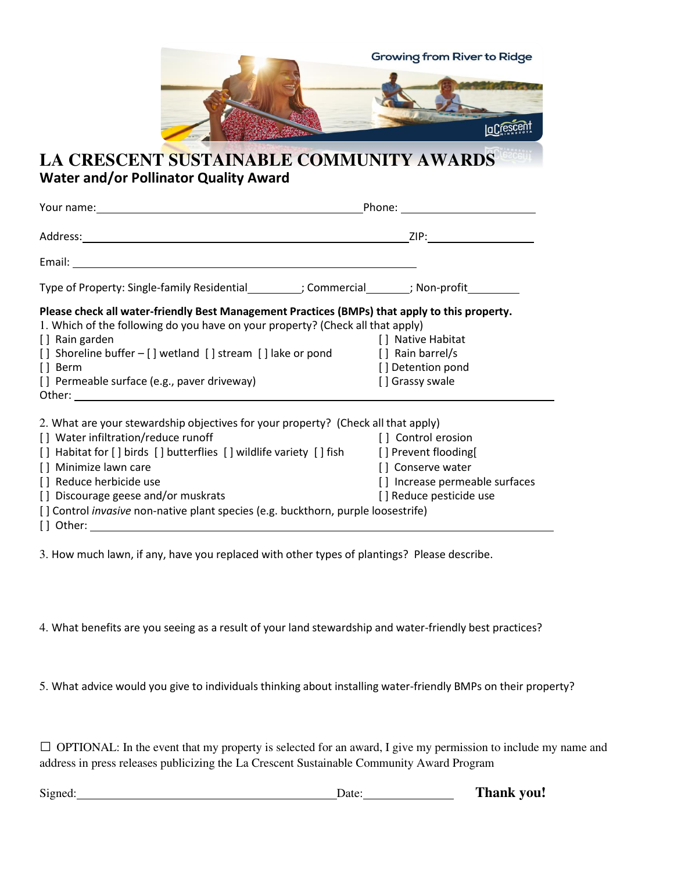

### **LA CRESCENT SUSTAINABLE COMMUNITY AWARDS APPLICATION Water and/or Pollinator Quality Award**

| Type of Property: Single-family Residential__________; Commercial________; Non-profit__________                                                                                                                                                                                                                                               |                                                            |  |
|-----------------------------------------------------------------------------------------------------------------------------------------------------------------------------------------------------------------------------------------------------------------------------------------------------------------------------------------------|------------------------------------------------------------|--|
| Please check all water-friendly Best Management Practices (BMPs) that apply to this property.<br>1. Which of the following do you have on your property? (Check all that apply)<br>[] Rain garden<br>[] Shoreline buffer - [] wetland [] stream [] lake or pond [] Rain barrel/s<br>$[$ ] Berm<br>[] Permeable surface (e.g., paver driveway) | [ ] Native Habitat<br>[] Detention pond<br>[] Grassy swale |  |
| 2. What are your stewardship objectives for your property? (Check all that apply)                                                                                                                                                                                                                                                             |                                                            |  |
| [] Water infiltration/reduce runoff                                                                                                                                                                                                                                                                                                           | [ ] Control erosion                                        |  |
| [] Habitat for [] birds [] butterflies [] wildlife variety [] fish [] Prevent flooding                                                                                                                                                                                                                                                        |                                                            |  |
| [] Minimize lawn care                                                                                                                                                                                                                                                                                                                         | [] Conserve water                                          |  |
| [] Reduce herbicide use                                                                                                                                                                                                                                                                                                                       | [] Increase permeable surfaces                             |  |
| [] Discourage geese and/or muskrats                                                                                                                                                                                                                                                                                                           | [] Reduce pesticide use                                    |  |
| [] Control <i>invasive</i> non-native plant species (e.g. buckthorn, purple loosestrife)                                                                                                                                                                                                                                                      |                                                            |  |

3. How much lawn, if any, have you replaced with other types of plantings? Please describe.

4. What benefits are you seeing as a result of your land stewardship and water-friendly best practices?

5. What advice would you give to individuals thinking about installing water-friendly BMPs on their property?

 $\Box$  OPTIONAL: In the event that my property is selected for an award, I give my permission to include my name and address in press releases publicizing the La Crescent Sustainable Community Award Program

Signed: **Date: Date: Thank you!**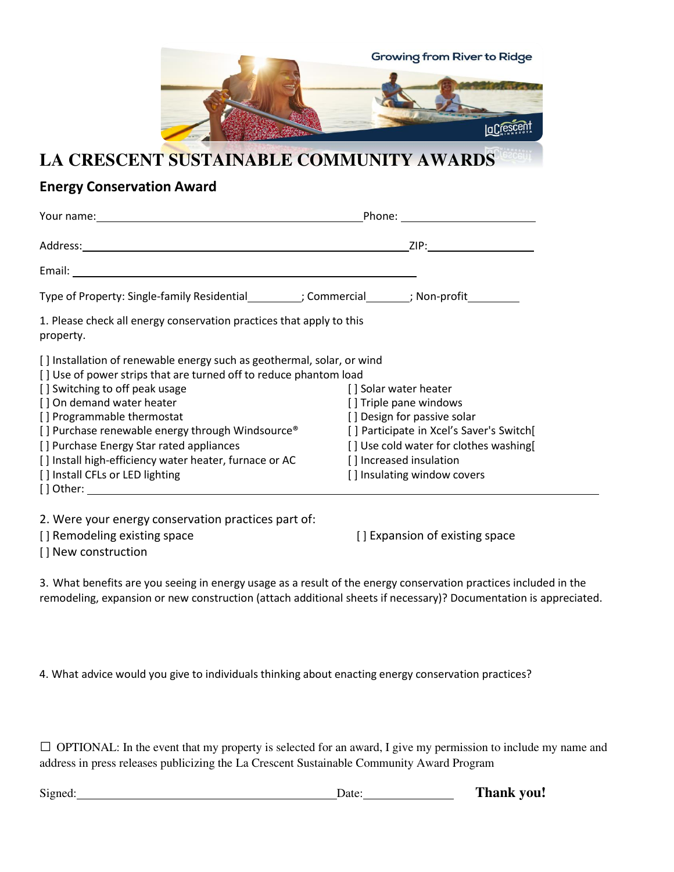

### **LA CRESCENT SUSTAINABLE COMMUNITY AWARDS**

# **Energy Conservation Award**

|                                                                                                                                                                                                                                      | Phone: the contract of the contract of the contract of the contract of the contract of the contract of the contract of the contract of the contract of the contract of the contract of the contract of the contract of the con |  |
|--------------------------------------------------------------------------------------------------------------------------------------------------------------------------------------------------------------------------------------|--------------------------------------------------------------------------------------------------------------------------------------------------------------------------------------------------------------------------------|--|
|                                                                                                                                                                                                                                      |                                                                                                                                                                                                                                |  |
| Email: <u>Andreas Andreas Andreas Andreas Andreas Andreas Andreas Andreas Andreas Andreas Andreas Andreas Andreas Andreas Andreas Andreas Andreas Andreas Andreas Andreas Andreas Andreas Andreas Andreas Andreas Andreas Andrea</u> |                                                                                                                                                                                                                                |  |
| Type of Property: Single-family Residential__________; Commercial________; Non-profit_________                                                                                                                                       |                                                                                                                                                                                                                                |  |
| 1. Please check all energy conservation practices that apply to this<br>property.                                                                                                                                                    |                                                                                                                                                                                                                                |  |
| [] Installation of renewable energy such as geothermal, solar, or wind<br>[] Use of power strips that are turned off to reduce phantom load                                                                                          |                                                                                                                                                                                                                                |  |
| [] Switching to off peak usage<br>[] On demand water heater                                                                                                                                                                          | [] Solar water heater<br>[] Triple pane windows                                                                                                                                                                                |  |
| [] Programmable thermostat                                                                                                                                                                                                           | [] Design for passive solar                                                                                                                                                                                                    |  |
| [] Purchase renewable energy through Windsource®<br>[] Purchase Energy Star rated appliances                                                                                                                                         | [] Participate in Xcel's Saver's Switch[<br>[] Use cold water for clothes washing []                                                                                                                                           |  |
| [] Install high-efficiency water heater, furnace or AC<br>[] Install CFLs or LED lighting<br>$[$ ] Other: $\_$                                                                                                                       | [] Increased insulation<br>[] Insulating window covers                                                                                                                                                                         |  |

2. Were your energy conservation practices part of:

[ ] New construction

[] Remodeling existing space [ ] Expansion of existing space

3. What benefits are you seeing in energy usage as a result of the energy conservation practices included in the remodeling, expansion or new construction (attach additional sheets if necessary)? Documentation is appreciated.

4. What advice would you give to individuals thinking about enacting energy conservation practices?

 $\Box$  OPTIONAL: In the event that my property is selected for an award, I give my permission to include my name and address in press releases publicizing the La Crescent Sustainable Community Award Program

| Signed. | Jate | Thank you! |
|---------|------|------------|
|---------|------|------------|